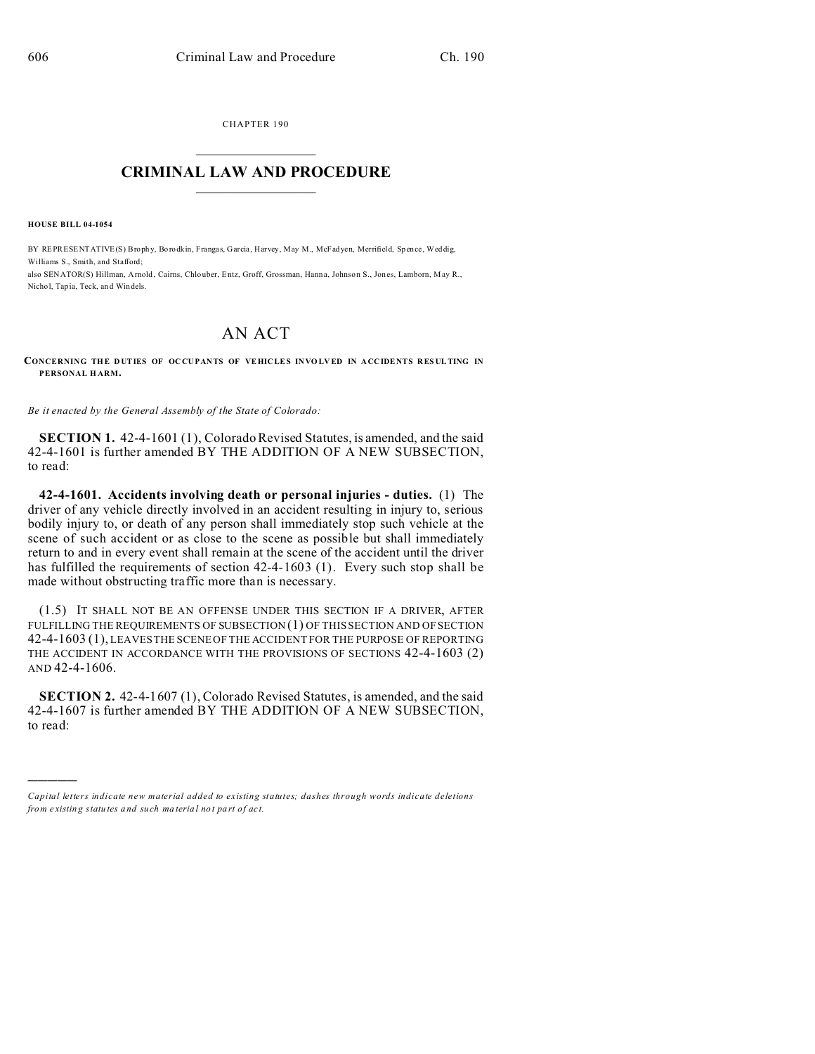CHAPTER 190  $\overline{\phantom{a}}$  , where  $\overline{\phantom{a}}$ 

## **CRIMINAL LAW AND PROCEDURE**  $\_$   $\_$   $\_$   $\_$   $\_$   $\_$   $\_$   $\_$   $\_$

**HOUSE BILL 04-1054**

)))))

BY REPRESENTATIVE(S) Broph y, Borodkin, Frangas, Garcia, Harvey, May M., McFadyen, Merrifield, Spence, Weddig, Williams S., Smith, and Stafford; also SENATOR(S) Hillman, Arnold , Cairns, Chlo uber, Entz, Groff, Grossman, Hann a, Johnson S., Jones, Lamborn, May R.,

Nichol, Tapia, Teck, an d Windels.

## AN ACT

**CONCERNING THE DUTIES OF OCCUPANTS OF VEHICLES INVOLVED IN ACCIDENTS RESULTING IN PERSONAL H ARM.**

*Be it enacted by the General Assembly of the State of Colorado:*

**SECTION 1.** 42-4-1601 (1), Colorado Revised Statutes, is amended, and the said 42-4-1601 is further amended BY THE ADDITION OF A NEW SUBSECTION, to read:

**42-4-1601. Accidents involving death or personal injuries - duties.** (1) The driver of any vehicle directly involved in an accident resulting in injury to, serious bodily injury to, or death of any person shall immediately stop such vehicle at the scene of such accident or as close to the scene as possible but shall immediately return to and in every event shall remain at the scene of the accident until the driver has fulfilled the requirements of section 42-4-1603 (1). Every such stop shall be made without obstructing traffic more than is necessary.

(1.5) IT SHALL NOT BE AN OFFENSE UNDER THIS SECTION IF A DRIVER, AFTER FULFILLING THE REQUIREMENTS OF SUBSECTION (1) OF THIS SECTION AND OF SECTION 42-4-1603 (1), LEAVES THE SCENE OF THE ACCIDENT FOR THE PURPOSE OF REPORTING THE ACCIDENT IN ACCORDANCE WITH THE PROVISIONS OF SECTIONS 42-4-1603 (2) AND 42-4-1606.

**SECTION 2.** 42-4-1607 (1), Colorado Revised Statutes, is amended, and the said 42-4-1607 is further amended BY THE ADDITION OF A NEW SUBSECTION, to read:

*Capital letters indicate new material added to existing statutes; dashes through words indicate deletions from e xistin g statu tes a nd such ma teria l no t pa rt of ac t.*